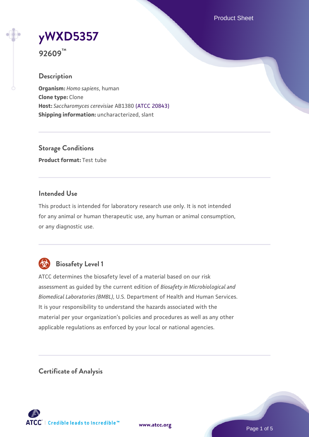Product Sheet



**92609™**

#### **Description**

**Organism:** *Homo sapiens*, human **Clone type:** Clone **Host:** *Saccharomyces cerevisiae* AB1380 [\(ATCC 20843\)](https://www.atcc.org/products/20843) **Shipping information:** uncharacterized, slant

**Storage Conditions Product format:** Test tube

### **Intended Use**

This product is intended for laboratory research use only. It is not intended for any animal or human therapeutic use, any human or animal consumption, or any diagnostic use.



## **Biosafety Level 1**

ATCC determines the biosafety level of a material based on our risk assessment as guided by the current edition of *Biosafety in Microbiological and Biomedical Laboratories (BMBL)*, U.S. Department of Health and Human Services. It is your responsibility to understand the hazards associated with the material per your organization's policies and procedures as well as any other applicable regulations as enforced by your local or national agencies.

**Certificate of Analysis**

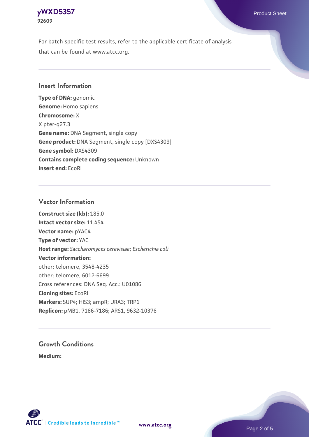#### **[yWXD5357](https://www.atcc.org/products/92609)** Product Sheet **92609**

For batch-specific test results, refer to the applicable certificate of analysis that can be found at www.atcc.org.

### **Insert Information**

**Type of DNA:** genomic **Genome:** Homo sapiens **Chromosome:** X X pter-q27.3 **Gene name:** DNA Segment, single copy **Gene product:** DNA Segment, single copy [DXS4309] **Gene symbol:** DXS4309 **Contains complete coding sequence:** Unknown **Insert end:** EcoRI

#### **Vector Information**

**Construct size (kb):** 185.0 **Intact vector size:** 11.454 **Vector name:** pYAC4 **Type of vector:** YAC **Host range:** *Saccharomyces cerevisiae*; *Escherichia coli* **Vector information:** other: telomere, 3548-4235 other: telomere, 6012-6699 Cross references: DNA Seq. Acc.: U01086 **Cloning sites:** EcoRI **Markers:** SUP4; HIS3; ampR; URA3; TRP1 **Replicon:** pMB1, 7186-7186; ARS1, 9632-10376

# **Growth Conditions**

**Medium:** 



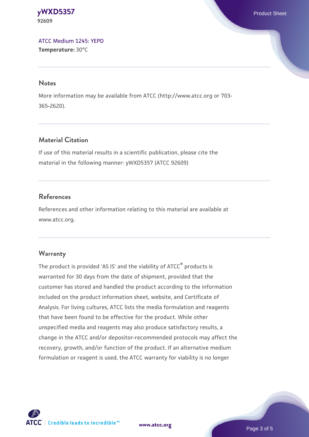**[yWXD5357](https://www.atcc.org/products/92609)** Product Sheet **92609**

[ATCC Medium 1245: YEPD](https://www.atcc.org/-/media/product-assets/documents/microbial-media-formulations/1/2/4/5/atcc-medium-1245.pdf?rev=705ca55d1b6f490a808a965d5c072196) **Temperature:** 30°C

#### **Notes**

More information may be available from ATCC (http://www.atcc.org or 703- 365-2620).

### **Material Citation**

If use of this material results in a scientific publication, please cite the material in the following manner: yWXD5357 (ATCC 92609)

#### **References**

References and other information relating to this material are available at www.atcc.org.

#### **Warranty**

The product is provided 'AS IS' and the viability of ATCC® products is warranted for 30 days from the date of shipment, provided that the customer has stored and handled the product according to the information included on the product information sheet, website, and Certificate of Analysis. For living cultures, ATCC lists the media formulation and reagents that have been found to be effective for the product. While other unspecified media and reagents may also produce satisfactory results, a change in the ATCC and/or depositor-recommended protocols may affect the recovery, growth, and/or function of the product. If an alternative medium formulation or reagent is used, the ATCC warranty for viability is no longer

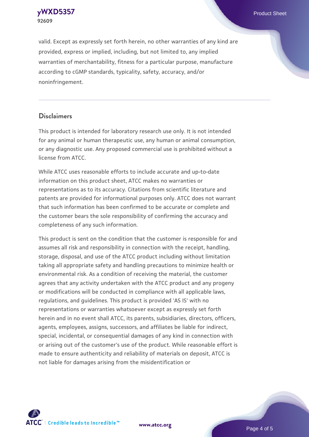**[yWXD5357](https://www.atcc.org/products/92609)** Product Sheet **92609**

valid. Except as expressly set forth herein, no other warranties of any kind are provided, express or implied, including, but not limited to, any implied warranties of merchantability, fitness for a particular purpose, manufacture according to cGMP standards, typicality, safety, accuracy, and/or noninfringement.

#### **Disclaimers**

This product is intended for laboratory research use only. It is not intended for any animal or human therapeutic use, any human or animal consumption, or any diagnostic use. Any proposed commercial use is prohibited without a license from ATCC.

While ATCC uses reasonable efforts to include accurate and up-to-date information on this product sheet, ATCC makes no warranties or representations as to its accuracy. Citations from scientific literature and patents are provided for informational purposes only. ATCC does not warrant that such information has been confirmed to be accurate or complete and the customer bears the sole responsibility of confirming the accuracy and completeness of any such information.

This product is sent on the condition that the customer is responsible for and assumes all risk and responsibility in connection with the receipt, handling, storage, disposal, and use of the ATCC product including without limitation taking all appropriate safety and handling precautions to minimize health or environmental risk. As a condition of receiving the material, the customer agrees that any activity undertaken with the ATCC product and any progeny or modifications will be conducted in compliance with all applicable laws, regulations, and guidelines. This product is provided 'AS IS' with no representations or warranties whatsoever except as expressly set forth herein and in no event shall ATCC, its parents, subsidiaries, directors, officers, agents, employees, assigns, successors, and affiliates be liable for indirect, special, incidental, or consequential damages of any kind in connection with or arising out of the customer's use of the product. While reasonable effort is made to ensure authenticity and reliability of materials on deposit, ATCC is not liable for damages arising from the misidentification or



**[www.atcc.org](http://www.atcc.org)**

Page 4 of 5